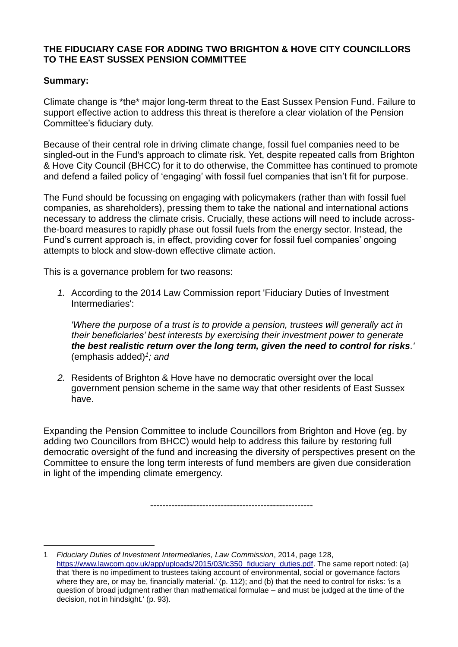#### **THE FIDUCIARY CASE FOR ADDING TWO BRIGHTON & HOVE CITY COUNCILLORS TO THE EAST SUSSEX PENSION COMMITTEE**

## **Summary:**

Climate change is \*the\* major long-term threat to the East Sussex Pension Fund. Failure to support effective action to address this threat is therefore a clear violation of the Pension Committee's fiduciary duty.

Because of their central role in driving climate change, fossil fuel companies need to be singled-out in the Fund's approach to climate risk. Yet, despite repeated calls from Brighton & Hove City Council (BHCC) for it to do otherwise, the Committee has continued to promote and defend a failed policy of 'engaging' with fossil fuel companies that isn't fit for purpose.

The Fund should be focussing on engaging with policymakers (rather than with fossil fuel companies, as shareholders), pressing them to take the national and international actions necessary to address the climate crisis. Crucially, these actions will need to include acrossthe-board measures to rapidly phase out fossil fuels from the energy sector. Instead, the Fund's current approach is, in effect, providing cover for fossil fuel companies' ongoing attempts to block and slow-down effective climate action.

This is a governance problem for two reasons:

*1.* According to the 2014 Law Commission report 'Fiduciary Duties of Investment Intermediaries':

*'Where the purpose of a trust is to provide a pension, trustees will generally act in their beneficiaries' best interests by exercising their investment power to generate the best realistic return over the long term, given the need to control for risks.'*  (emphasis added)*<sup>1</sup> ; and*

*2.* Residents of Brighton & Hove have no democratic oversight over the local government pension scheme in the same way that other residents of East Sussex have.

Expanding the Pension Committee to include Councillors from Brighton and Hove (eg. by adding two Councillors from BHCC) would help to address this failure by restoring full democratic oversight of the fund and increasing the diversity of perspectives present on the Committee to ensure the long term interests of fund members are given due consideration in light of the impending climate emergency.

-----------------------------------------------------

<sup>1</sup> *Fiduciary Duties of Investment Intermediaries, Law Commission*, 2014, page 128, [https://www.lawcom.gov.uk/app/uploads/2015/03/lc350\\_fiduciary\\_duties.pdf.](https://www.lawcom.gov.uk/app/uploads/2015/03/lc350_fiduciary_duties.pdf) The same report noted: (a) that 'there is no impediment to trustees taking account of environmental, social or governance factors where they are, or may be, financially material.' (p. 112); and (b) that the need to control for risks: 'is a question of broad judgment rather than mathematical formulae – and must be judged at the time of the decision, not in hindsight.' (p. 93).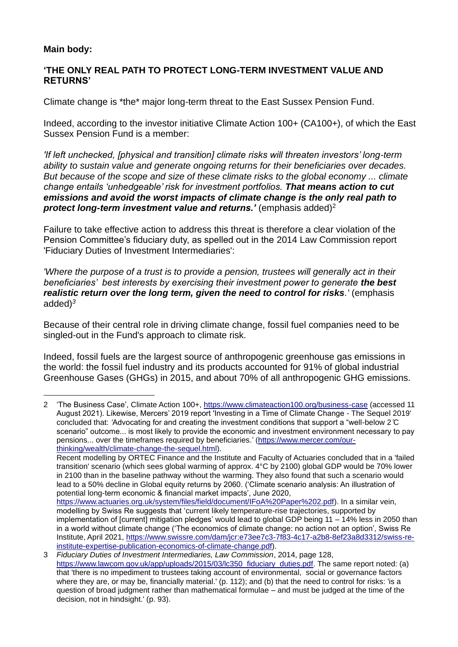## **Main body:**

### **'THE ONLY REAL PATH TO PROTECT LONG-TERM INVESTMENT VALUE AND RETURNS'**

Climate change is \*the\* major long-term threat to the East Sussex Pension Fund.

Indeed, according to the investor initiative Climate Action 100+ (CA100+), of which the East Sussex Pension Fund is a member:

*'If left unchecked, [physical and transition] climate risks will threaten investors' long-term ability to sustain value and generate ongoing returns for their beneficiaries over decades. But because of the scope and size of these climate risks to the global economy ... climate change entails 'unhedgeable' risk for investment portfolios. That means action to cut emissions and avoid the worst impacts of climate change is the only real path to protect long-term investment value and returns.'* (emphasis added)<sup>2</sup>

Failure to take effective action to address this threat is therefore a clear violation of the Pension Committee's fiduciary duty, as spelled out in the 2014 Law Commission report 'Fiduciary Duties of Investment Intermediaries':

*'Where the purpose of a trust is to provide a pension, trustees will generally act in their beneficiaries' best interests by exercising their investment power to generate the best realistic return over the long term, given the need to control for risks.' (emphasis* added)*<sup>3</sup>*

Because of their central role in driving climate change, fossil fuel companies need to be singled-out in the Fund's approach to climate risk.

Indeed, fossil fuels are the largest source of anthropogenic greenhouse gas emissions in the world: the fossil fuel industry and its products accounted for 91% of global industrial Greenhouse Gases (GHGs) in 2015, and about 70% of all anthropogenic GHG emissions.

<sup>2 &#</sup>x27;The Business Case', Climate Action 100+,<https://www.climateaction100.org/business-case> (accessed 11 August 2021). Likewise, Mercers' 2019 report 'Investing in a Time of Climate Change - The Sequel 2019' concluded that: *'*Advocating for and creating the investment conditions that support a "well-below 2 ̊C scenario" outcome... is most likely to provide the economic and investment environment necessary to pay pensions... over the timeframes required by beneficiaries.' [\(https://www.mercer.com/our](https://www.mercer.com/our-thinking/wealth/climate-change-the-sequel.html)[thinking/wealth/climate-change-the-sequel.html\)](https://www.mercer.com/our-thinking/wealth/climate-change-the-sequel.html).

Recent modelling by ORTEC Finance and the Institute and Faculty of Actuaries concluded that in a 'failed transition' scenario (which sees global warming of approx. 4°C by 2100) global GDP would be 70% lower in 2100 than in the baseline pathway without the warming. They also found that such a scenario would lead to a 50% decline in Global equity returns by 2060. ('Climate scenario analysis: An illustration of potential long-term economic & financial market impacts', June 2020,

[https://www.actuaries.org.uk/system/files/field/document/IFoA%20Paper%202.pdf\)](https://www.actuaries.org.uk/system/files/field/document/IFoA%20Paper%202.pdf). In a similar vein, modelling by Swiss Re suggests that 'current likely temperature-rise trajectories, supported by implementation of [current] mitigation pledges' would lead to global GDP being 11 – 14% less in 2050 than in a world without climate change ('The economics of climate change: no action not an option', Swiss Re Institute, April 2021, [https://www.swissre.com/dam/jcr:e73ee7c3-7f83-4c17-a2b8-8ef23a8d3312/swiss-re](https://www.swissre.com/dam/jcr:e73ee7c3-7f83-4c17-a2b8-8ef23a8d3312/swiss-re-institute-expertise-publication-economics-of-climate-change.pdf)[institute-expertise-publication-economics-of-climate-change.pdf\)](https://www.swissre.com/dam/jcr:e73ee7c3-7f83-4c17-a2b8-8ef23a8d3312/swiss-re-institute-expertise-publication-economics-of-climate-change.pdf).

<sup>3</sup> *Fiduciary Duties of Investment Intermediaries, Law Commission*, 2014, page 128, [https://www.lawcom.gov.uk/app/uploads/2015/03/lc350\\_fiduciary\\_duties.pdf.](https://www.lawcom.gov.uk/app/uploads/2015/03/lc350_fiduciary_duties.pdf) The same report noted: (a) that 'there is no impediment to trustees taking account of environmental, social or governance factors where they are, or may be, financially material.' (p. 112); and (b) that the need to control for risks: 'is a question of broad judgment rather than mathematical formulae – and must be judged at the time of the decision, not in hindsight.' (p. 93).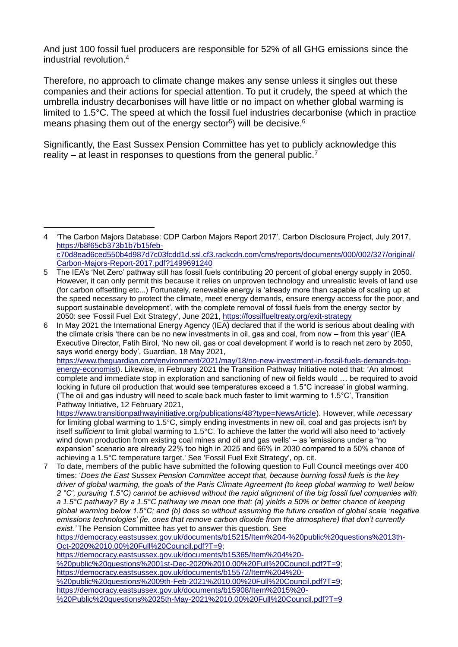And just 100 fossil fuel producers are responsible for 52% of all GHG emissions since the industrial revolution.<sup>4</sup>

Therefore, no approach to climate change makes any sense unless it singles out these companies and their actions for special attention. To put it crudely, the speed at which the umbrella industry decarbonises will have little or no impact on whether global warming is limited to 1.5°C. The speed at which the fossil fuel industries decarbonise (which in practice means phasing them out of the energy sector<sup>5</sup>) will be decisive.<sup>6</sup>

Significantly, the East Sussex Pension Committee has yet to publicly acknowledge this reality – at least in responses to questions from the general public.<sup>7</sup>

[Oct-2020%2010.00%20Full%20Council.pdf?T=9;](https://democracy.eastsussex.gov.uk/documents/b15215/Item%204-%20public%20questions%2013th-Oct-2020%2010.00%20Full%20Council.pdf?T=9)

[https://democracy.eastsussex.gov.uk/documents/b15365/Item%204%20-](https://democracy.eastsussex.gov.uk/documents/b15365/Item%204%20-%20public%20questions%2001st-Dec-2020%2010.00%20Full%20Council.pdf?T=9) [%20public%20questions%2001st-Dec-2020%2010.00%20Full%20Council.pdf?T=9;](https://democracy.eastsussex.gov.uk/documents/b15365/Item%204%20-%20public%20questions%2001st-Dec-2020%2010.00%20Full%20Council.pdf?T=9) [https://democracy.eastsussex.gov.uk/documents/b15572/Item%204%20-](https://democracy.eastsussex.gov.uk/documents/b15572/Item%204%20-%20public%20questions%2009th-Feb-2021%2010.00%20Full%20Council.pdf?T=9) [%20public%20questions%2009th-Feb-2021%2010.00%20Full%20Council.pdf?T=9;](https://democracy.eastsussex.gov.uk/documents/b15572/Item%204%20-%20public%20questions%2009th-Feb-2021%2010.00%20Full%20Council.pdf?T=9) [https://democracy.eastsussex.gov.uk/documents/b15908/Item%2015%20-](https://democracy.eastsussex.gov.uk/documents/b15908/Item%2015%20-%20Public%20questions%2025th-May-2021%2010.00%20Full%20Council.pdf?T=9) [%20Public%20questions%2025th-May-2021%2010.00%20Full%20Council.pdf?T=9](https://democracy.eastsussex.gov.uk/documents/b15908/Item%2015%20-%20Public%20questions%2025th-May-2021%2010.00%20Full%20Council.pdf?T=9)

<sup>4</sup> 'The Carbon Majors Database: CDP Carbon Majors Report 2017', Carbon Disclosure Project, July 2017, [https://b8f65cb373b1b7b15feb](https://b8f65cb373b1b7b15feb-c70d8ead6ced550b4d987d7c03fcdd1d.ssl.cf3.rackcdn.com/cms/reports/documents/000/002/327/original/Carbon-Majors-Report-2017.pdf?1499691240)[c70d8ead6ced550b4d987d7c03fcdd1d.ssl.cf3.rackcdn.com/cms/reports/documents/000/002/327/original/](https://b8f65cb373b1b7b15feb-c70d8ead6ced550b4d987d7c03fcdd1d.ssl.cf3.rackcdn.com/cms/reports/documents/000/002/327/original/Carbon-Majors-Report-2017.pdf?1499691240) [Carbon-Majors-Report-2017.pdf?1499691240](https://b8f65cb373b1b7b15feb-c70d8ead6ced550b4d987d7c03fcdd1d.ssl.cf3.rackcdn.com/cms/reports/documents/000/002/327/original/Carbon-Majors-Report-2017.pdf?1499691240) 

<sup>5</sup> The IEA's 'Net Zero' pathway still has fossil fuels contributing 20 percent of global energy supply in 2050. However, it can only permit this because it relies on unproven technology and unrealistic levels of land use (for carbon offsetting etc...) Fortunately, renewable energy is 'already more than capable of scaling up at the speed necessary to protect the climate, meet energy demands, ensure energy access for the poor, and support sustainable development', with the complete removal of fossil fuels from the energy sector by 2050: see 'Fossil Fuel Exit Strategy', June 2021,<https://fossilfueltreaty.org/exit-strategy>

<sup>6</sup> In May 2021 the International Energy Agency (IEA) declared that if the world is serious about dealing with the climate crisis 'there can be no new investments in oil, gas and coal, from now – from this year' (IEA Executive Director, Fatih Birol, 'No new oil, gas or coal development if world is to reach net zero by 2050, says world energy body', Guardian, 18 May 2021, [https://www.theguardian.com/environment/2021/may/18/no-new-investment-in-fossil-fuels-demands-top-](https://www.theguardian.com/environment/2021/may/18/no-new-investment-in-fossil-fuels-demands-top-energy-economis)

[energy-economist\)](https://www.theguardian.com/environment/2021/may/18/no-new-investment-in-fossil-fuels-demands-top-energy-economis). Likewise, in February 2021 the Transition Pathway Initiative noted that: 'An almost complete and immediate stop in exploration and sanctioning of new oil fields would … be required to avoid locking in future oil production that would see temperatures exceed a 1.5°C increase' in global warming. ('The oil and gas industry will need to scale back much faster to limit warming to 1.5°C', Transition Pathway Initiative, 12 February 2021,

[https://www.transitionpathwayinitiative.org/publications/48?type=NewsArticle\)](https://www.transitionpathwayinitiative.org/publications/48?type=NewsArticle). However, while *necessary*  for limiting global warming to 1.5°C, simply ending investments in new oil, coal and gas projects isn't by itself *sufficient* to limit global warming to 1.5°C. To achieve the latter the world will also need to 'actively wind down production from existing coal mines and oil and gas wells' – as 'emissions under a "no expansion" scenario are already 22% too high in 2025 and 66% in 2030 compared to a 50% chance of achieving a 1.5°C temperature target.' See 'Fossil Fuel Exit Strategy', op. cit.

<sup>7</sup> To date, members of the public have submitted the following question to Full Council meetings over 400 times: '*Does the East Sussex Pension Committee accept that, because burning fossil fuels is the key driver of global warming, the goals of the Paris Climate Agreement (to keep global warming to 'well below 2 °C', pursuing 1.5°C) cannot be achieved without the rapid alignment of the big fossil fuel companies with a 1.5°C pathway? By a 1.5°C pathway we mean one that: (a) yields a 50% or better chance of keeping global warming below 1.5°C; and (b) does so without assuming the future creation of global scale 'negative emissions technologies' (ie. ones that remove carbon dioxide from the atmosphere) that don't currently exist.'* The Pension Committee has yet to answer this question. See [https://democracy.eastsussex.gov.uk/documents/b15215/Item%204-%20public%20questions%2013th-](https://democracy.eastsussex.gov.uk/documents/b15215/Item%204-%20public%20questions%2013th-Oct-2020%2010.00%20Full%20Council.pdf?T=9)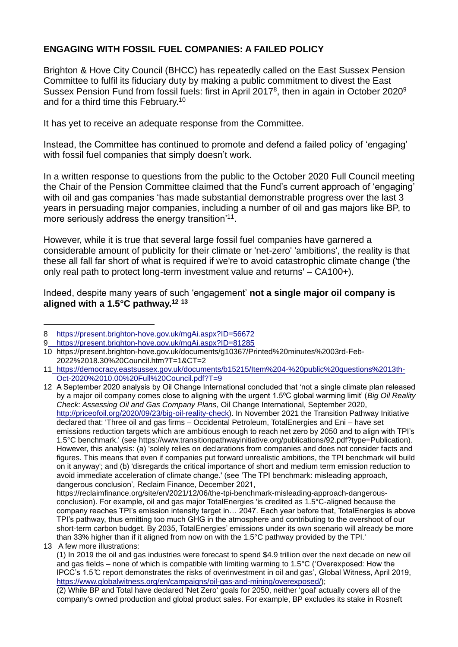# **ENGAGING WITH FOSSIL FUEL COMPANIES: A FAILED POLICY**

Brighton & Hove City Council (BHCC) has repeatedly called on the East Sussex Pension Committee to fulfil its fiduciary duty by making a public commitment to divest the East Sussex Pension Fund from fossil fuels: first in April 2017<sup>8</sup>, then in again in October 2020<sup>9</sup> and for a third time this February.<sup>10</sup>

It has yet to receive an adequate response from the Committee.

Instead, the Committee has continued to promote and defend a failed policy of 'engaging' with fossil fuel companies that simply doesn't work.

In a written response to questions from the public to the October 2020 Full Council meeting the Chair of the Pension Committee claimed that the Fund's current approach of 'engaging' with oil and gas companies 'has made substantial demonstrable progress over the last 3 years in persuading major companies, including a number of oil and gas majors like BP, to more seriously address the energy transition'<sup>11</sup>.

However, while it is true that several large fossil fuel companies have garnered a considerable amount of publicity for their climate or 'net-zero' 'ambitions', the reality is that these all fall far short of what is required if we're to avoid catastrophic climate change ('the only real path to protect long-term investment value and returns' – CA100+).

Indeed, despite many years of such 'engagement' **not a single major oil company is aligned with a 1.5°C pathway.<sup>12</sup> <sup>13</sup>**

12 A September 2020 analysis by Oil Change International concluded that 'not a single climate plan released by a major oil company comes close to aligning with the urgent 1.5ºC global warming limit' (*Big Oil Reality Check: Assessing Oil and Gas Company Plans*, Oil Change International, September 2020, [http://priceofoil.org/2020/09/23/big-oil-reality-check\)](http://priceofoil.org/2020/09/23/big-oil-reality-check). In November 2021 the Transition Pathway Initiative declared that: 'Three oil and gas firms – Occidental Petroleum, TotalEnergies and Eni – have set emissions reduction targets which are ambitious enough to reach net zero by 2050 and to align with TPI's 1.5°C benchmark.' (see https://www.transitionpathwayinitiative.org/publications/92.pdf?type=Publication). However, this analysis: (a) 'solely relies on declarations from companies and does not consider facts and figures. This means that even if companies put forward unrealistic ambitions, the TPI benchmark will build on it anyway'; and (b) 'disregards the critical importance of short and medium term emission reduction to avoid immediate acceleration of climate change.' (see 'The TPI benchmark: misleading approach, dangerous conclusion', Reclaim Finance, December 2021, https://reclaimfinance.org/site/en/2021/12/06/the-tpi-benchmark-misleading-approach-dangerous-

conclusion). For example, oil and gas major TotalEnergies 'is credited as 1.5°C-aligned because the company reaches TPI's emission intensity target in… 2047. Each year before that, TotalEnergies is above TPI's pathway, thus emitting too much GHG in the atmosphere and contributing to the overshoot of our short-term carbon budget. By 2035, TotalEnergies' emissions under its own scenario will already be more than 33% higher than if it aligned from now on with the 1.5°C pathway provided by the TPI.'

(1) In 2019 the oil and gas industries were forecast to spend \$4.9 trillion over the next decade on new oil and gas fields – none of which is compatible with limiting warming to 1.5°C ('Overexposed: How the IPCC's 1.5 ̊C report demonstrates the risks of overinvestment in oil and gas', Global Witness, April 2019, [https://www.globalwitness.org/en/campaigns/oil-gas-and-mining/overexposed/\)](https://www.globalwitness.org/en/campaigns/oil-gas-and-mining/overexposed/);

(2) While BP and Total have declared 'Net Zero' goals for 2050, neither 'goal' actually covers all of the company's owned production and global product sales. For example, BP excludes its stake in Rosneft

<sup>8</sup> <https://present.brighton-hove.gov.uk/mgAi.aspx?ID=56672>

<sup>9</sup> <https://present.brighton-hove.gov.uk/mgAi.aspx?ID=81285>

<sup>10</sup> https://present.brighton-hove.gov.uk/documents/g10367/Printed%20minutes%2003rd-Feb-2022%2018.30%20Council.htm?T=1&CT=2

<sup>11</sup> [https://democracy.eastsussex.gov.uk/documents/b15215/Item%204-%20public%20questions%2013th-](https://democracy.eastsussex.gov.uk/documents/b15215/Item%204-%20public%20questions%2013th-Oct-2020%2010.00%20Full%20Council.pdf?T=9)[Oct-2020%2010.00%20Full%20Council.pdf?T=9](https://democracy.eastsussex.gov.uk/documents/b15215/Item%204-%20public%20questions%2013th-Oct-2020%2010.00%20Full%20Council.pdf?T=9)

<sup>13</sup> A few more illustrations: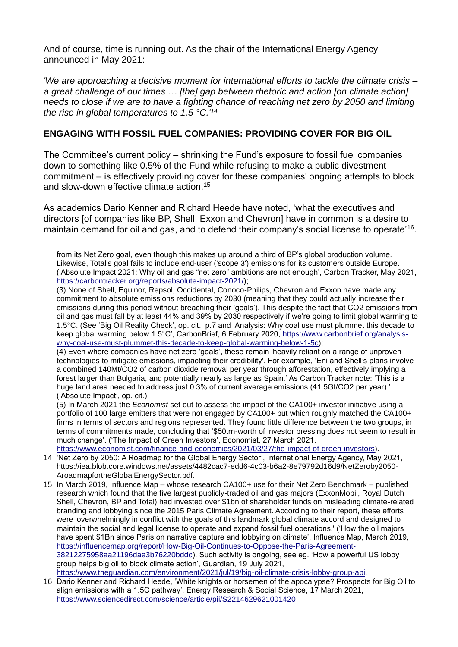And of course, time is running out. As the chair of the International Energy Agency announced in May 2021:

*'We are approaching a decisive moment for international efforts to tackle the climate crisis – a great challenge of our times … [the] gap between rhetoric and action [on climate action] needs to close if we are to have a fighting chance of reaching net zero by 2050 and limiting the rise in global temperatures to 1.5 °C.'<sup>14</sup>*

## **ENGAGING WITH FOSSIL FUEL COMPANIES: PROVIDING COVER FOR BIG OIL**

The Committee's current policy – shrinking the Fund's exposure to fossil fuel companies down to something like 0.5% of the Fund while refusing to make a public divestment commitment – is effectively providing cover for these companies' ongoing attempts to block and slow-down effective climate action.<sup>15</sup>

As academics Dario Kenner and Richard Heede have noted, 'what the executives and directors [of companies like BP, Shell, Exxon and Chevron] have in common is a desire to maintain demand for oil and gas, and to defend their company's social license to operate'<sup>16</sup>.

from its Net Zero goal, even though this makes up around a third of BP's global production volume. Likewise, Total's goal fails to include end-user ('scope 3') emissions for its customers outside Europe. ('Absolute Impact 2021: Why oil and gas "net zero" ambitions are not enough', Carbon Tracker, May 2021, [https://carbontracker.org/reports/absolute-impact-2021/\)](https://carbontracker.org/reports/absolute-impact-2021/);

(3) None of Shell, Equinor, Repsol, Occidental, Conoco-Philips, Chevron and Exxon have made any commitment to absolute emissions reductions by 2030 (meaning that they could actually increase their emissions during this period without breaching their 'goals'). This despite the fact that CO2 emissions from oil and gas must fall by at least 44% and 39% by 2030 respectively if we're going to limit global warming to 1.5°C. (See 'Big Oil Reality Check', op. cit., p.7 and 'Analysis: Why coal use must plummet this decade to keep global warming below 1.5°C', CarbonBrief, 6 February 2020, [https://www.carbonbrief.org/analysis](https://www.carbonbrief.org/analysis-why-coal-use-must-plummet-this-decade-to-keep-global-warming-below-1-5c)[why-coal-use-must-plummet-this-decade-to-keep-global-warming-below-1-5c\)](https://www.carbonbrief.org/analysis-why-coal-use-must-plummet-this-decade-to-keep-global-warming-below-1-5c);

(4) Even where companies have net zero 'goals', these remain 'heavily reliant on a range of unproven technologies to mitigate emissions, impacting their credibility'. For example, 'Eni and Shell's plans involve a combined 140Mt/CO2 of carbon dioxide removal per year through afforestation, effectively implying a forest larger than Bulgaria, and potentially nearly as large as Spain.' As Carbon Tracker note: 'This is a huge land area needed to address just 0.3% of current average emissions (41.5Gt/CO2 per year).' ('Absolute Impact', op. cit.)

(5) In March 2021 the *Economist* set out to assess the impact of the CA100+ investor initiative using a portfolio of 100 large emitters that were not engaged by CA100+ but which roughly matched the CA100+ firms in terms of sectors and regions represented. They found little difference between the two groups, in terms of commitments made, concluding that '\$50trn-worth of investor pressing does not seem to result in much change'. ('The Impact of Green Investors', Economist, 27 March 2021,

[https://www.economist.com/finance-and-economics/2021/03/27/the-impact-of-green-investors\)](https://www.economist.com/finance-and-economics/2021/03/27/the-impact-of-green-investors).

- 14 'Net Zero by 2050: A Roadmap for the Global Energy Sector', International Energy Agency, May 2021, https://iea.blob.core.windows.net/assets/4482cac7-edd6-4c03-b6a2-8e79792d16d9/NetZeroby2050- AroadmapfortheGlobalEnergySector.pdf.
- 15 In March 2019, Influence Map whose research CA100+ use for their Net Zero Benchmark published research which found that the five largest publicly-traded oil and gas majors (ExxonMobil, Royal Dutch Shell, Chevron, BP and Total) had invested over \$1bn of shareholder funds on misleading climate-related branding and lobbying since the 2015 Paris Climate Agreement. According to their report, these efforts were 'overwhelmingly in conflict with the goals of this landmark global climate accord and designed to maintain the social and legal license to operate and expand fossil fuel operations.' ('How the oil majors have spent \$1Bn since Paris on narrative capture and lobbying on climate', Influence Map, March 2019, [https://influencemap.org/report/How-Big-Oil-Continues-to-Oppose-the-Paris-Agreement-](https://influencemap.org/report/How-Big-Oil-Continues-to-Oppose-the-Paris-Agreement-38212275958aa21196dae3b76220bddc)[38212275958aa21196dae3b76220bddc\)](https://influencemap.org/report/How-Big-Oil-Continues-to-Oppose-the-Paris-Agreement-38212275958aa21196dae3b76220bddc). Such activity is ongoing, see eg. 'How a powerful US lobby group helps big oil to block climate action', Guardian, 19 July 2021, [https://www.theguardian.com/environment/2021/jul/19/big-oil-climate-crisis-lobby-group-api.](https://www.theguardian.com/environment/2021/jul/19/big-oil-climate-crisis-lobby-group-api)
- 16 Dario Kenner and Richard Heede, 'White knights or horsemen of the apocalypse? Prospects for Big Oil to align emissions with a 1.5C pathway', Energy Research & Social Science, 17 March 2021, <https://www.sciencedirect.com/science/article/pii/S2214629621001420>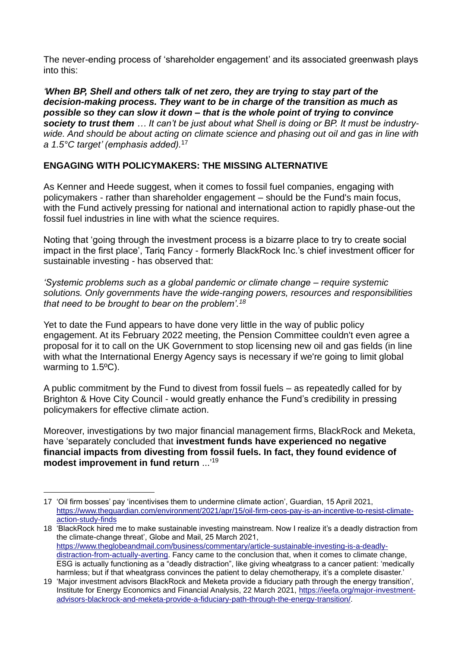The never-ending process of 'shareholder engagement' and its associated greenwash plays into this:

*'When BP, Shell and others talk of net zero, they are trying to stay part of the decision-making process. They want to be in charge of the transition as much as possible so they can slow it down – that is the whole point of trying to convince society to trust them … It can't be just about what Shell is doing or BP. It must be industrywide. And should be about acting on climate science and phasing out oil and gas in line with a 1.5°C target' (emphasis added).* 17

# **ENGAGING WITH POLICYMAKERS: THE MISSING ALTERNATIVE**

As Kenner and Heede suggest, when it comes to fossil fuel companies, engaging with policymakers - rather than shareholder engagement – should be the Fund's main focus, with the Fund actively pressing for national and international action to rapidly phase-out the fossil fuel industries in line with what the science requires.

Noting that 'going through the investment process is a bizarre place to try to create social impact in the first place', Tariq Fancy - formerly BlackRock Inc.'s chief investment officer for sustainable investing - has observed that:

*'Systemic problems such as a global pandemic or climate change – require systemic solutions. Only governments have the wide-ranging powers, resources and responsibilities that need to be brought to bear on the problem'.<sup>18</sup>*

Yet to date the Fund appears to have done very little in the way of public policy engagement. At its February 2022 meeting, the Pension Committee couldn't even agree a proposal for it to call on the UK Government to stop licensing new oil and gas fields (in line with what the International Energy Agency says is necessary if we're going to limit global warming to 1.5ºC).

A public commitment by the Fund to divest from fossil fuels – as repeatedly called for by Brighton & Hove City Council - would greatly enhance the Fund's credibility in pressing policymakers for effective climate action.

Moreover, investigations by two major financial management firms, BlackRock and Meketa, have 'separately concluded that **investment funds have experienced no negative financial impacts from divesting from fossil fuels. In fact, they found evidence of modest improvement in fund return** ...'<sup>19</sup>

<sup>17</sup> 'Oil firm bosses' pay 'incentivises them to undermine climate action', Guardian, 15 April 2021, [https://www.theguardian.com/environment/2021/apr/15/oil-firm-ceos-pay-is-an-incentive-to-resist-climate](https://www.theguardian.com/environment/2021/apr/15/oil-firm-ceos-pay-is-an-incentive-to-resist-climate-action-study-finds)[action-study-finds](https://www.theguardian.com/environment/2021/apr/15/oil-firm-ceos-pay-is-an-incentive-to-resist-climate-action-study-finds)

<sup>18</sup> 'BlackRock hired me to make sustainable investing mainstream. Now I realize it's a deadly distraction from the climate-change threat', Globe and Mail, 25 March 2021, [https://www.theglobeandmail.com/business/commentary/article-sustainable-investing-is-a-deadly](https://www.theglobeandmail.com/business/commentary/article-sustainable-investing-is-a-deadly-distraction-from-actually-averting)[distraction-from-actually-averting.](https://www.theglobeandmail.com/business/commentary/article-sustainable-investing-is-a-deadly-distraction-from-actually-averting) Fancy came to the conclusion that, when it comes to climate change, ESG is actually functioning as a "deadly distraction", like giving wheatgrass to a cancer patient: 'medically harmless; but if that wheatgrass convinces the patient to delay chemotherapy, it's a complete disaster.'

<sup>19</sup> 'Major investment advisors BlackRock and Meketa provide a fiduciary path through the energy transition', Institute for Energy Economics and Financial Analysis, 22 March 2021, [https://ieefa.org/major-investment](https://ieefa.org/major-investment-advisors-blackrock-and-meketa-provide-a-fiduciary-path-through-the-energy-transition/)[advisors-blackrock-and-meketa-provide-a-fiduciary-path-through-the-energy-transition/.](https://ieefa.org/major-investment-advisors-blackrock-and-meketa-provide-a-fiduciary-path-through-the-energy-transition/)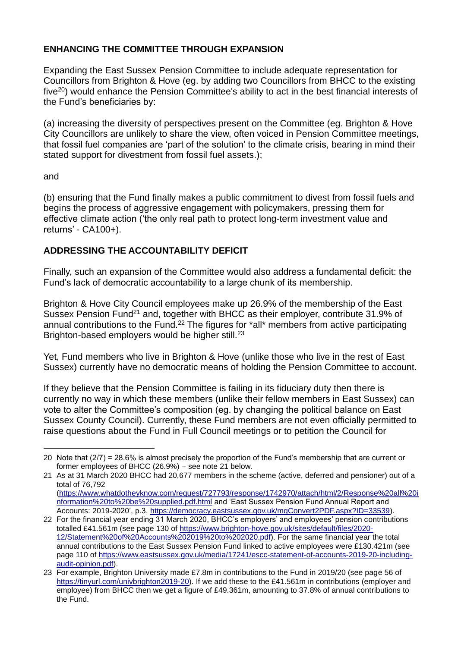# **ENHANCING THE COMMITTEE THROUGH EXPANSION**

Expanding the East Sussex Pension Committee to include adequate representation for Councillors from Brighton & Hove (eg. by adding two Councillors from BHCC to the existing five<sup>20</sup>) would enhance the Pension Committee's ability to act in the best financial interests of the Fund's beneficiaries by:

(a) increasing the diversity of perspectives present on the Committee (eg. Brighton & Hove City Councillors are unlikely to share the view, often voiced in Pension Committee meetings, that fossil fuel companies are 'part of the solution' to the climate crisis, bearing in mind their stated support for divestment from fossil fuel assets.);

### and

(b) ensuring that the Fund finally makes a public commitment to divest from fossil fuels and begins the process of aggressive engagement with policymakers, pressing them for effective climate action ('the only real path to protect long-term investment value and returns' - CA100+).

# **ADDRESSING THE ACCOUNTABILITY DEFICIT**

Finally, such an expansion of the Committee would also address a fundamental deficit: the Fund's lack of democratic accountability to a large chunk of its membership.

Brighton & Hove City Council employees make up 26.9% of the membership of the East Sussex Pension Fund<sup>21</sup> and, together with BHCC as their employer, contribute 31.9% of annual contributions to the Fund.<sup>22</sup> The figures for \*all\* members from active participating Brighton-based employers would be higher still.<sup>23</sup>

Yet, Fund members who live in Brighton & Hove (unlike those who live in the rest of East Sussex) currently have no democratic means of holding the Pension Committee to account.

If they believe that the Pension Committee is failing in its fiduciary duty then there is currently no way in which these members (unlike their fellow members in East Sussex) can vote to alter the Committee's composition (eg. by changing the political balance on East Sussex County Council). Currently, these Fund members are not even officially permitted to raise questions about the Fund in Full Council meetings or to petition the Council for

<sup>20</sup> Note that (2/7) = 28.6% is almost precisely the proportion of the Fund's membership that are current or former employees of BHCC (26.9%) – see note 21 below.

<sup>21</sup> As at 31 March 2020 BHCC had 20,677 members in the scheme (active, deferred and pensioner) out of a total of 76,792 [\(https://www.whatdotheyknow.com/request/727793/response/1742970/attach/html/2/Response%20all%20i](https://www.whatdotheyknow.com/request/727793/response/1742970/attach/html/2/Response%20all%20information%20to%20be%20supplied.pdf.html)

[nformation%20to%20be%20supplied.pdf.html](https://www.whatdotheyknow.com/request/727793/response/1742970/attach/html/2/Response%20all%20information%20to%20be%20supplied.pdf.html) and 'East Sussex Pension Fund Annual Report and Accounts: 2019-2020', p.3, [https://democracy.eastsussex.gov.uk/mgConvert2PDF.aspx?ID=33539\)](https://democracy.eastsussex.gov.uk/mgConvert2PDF.aspx?ID=33539).

<sup>22</sup> For the financial year ending 31 March 2020, BHCC's employers' and employees' pension contributions totalled £41.561m (see page 130 of [https://www.brighton-hove.gov.uk/sites/default/files/2020-](https://www.brighton-hove.gov.uk/sites/default/files/2020-12/Statement%20of%20Accounts%202019%20to%202020.pdf) [12/Statement%20of%20Accounts%202019%20to%202020.pdf\)](https://www.brighton-hove.gov.uk/sites/default/files/2020-12/Statement%20of%20Accounts%202019%20to%202020.pdf). For the same financial year the total annual contributions to the East Sussex Pension Fund linked to active employees were £130.421m (see page 110 of [https://www.eastsussex.gov.uk/media/17241/escc-statement-of-accounts-2019-20-including](https://www.eastsussex.gov.uk/media/17241/escc-statement-of-accounts-2019-20-including-audit-opinion.pdf)[audit-opinion.pdf\)](https://www.eastsussex.gov.uk/media/17241/escc-statement-of-accounts-2019-20-including-audit-opinion.pdf).

<sup>23</sup> For example, Brighton University made £7.8m in contributions to the Fund in 2019/20 (see page 56 of [https://tinyurl.com/univbrighton2019-20\)](https://tinyurl.com/univbrighton2019-20). If we add these to the £41.561m in contributions (employer and employee) from BHCC then we get a figure of £49.361m, amounting to 37.8% of annual contributions to the Fund.